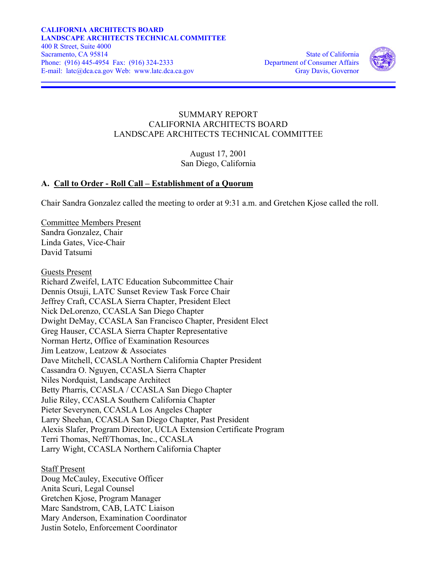

### SUMMARY REPORT CALIFORNIA ARCHITECTS BOARD LANDSCAPE ARCHITECTS TECHNICAL COMMITTEE

August 17, 2001 San Diego, California

### **A. Call to Order - Roll Call – Establishment of a Quorum**

Chair Sandra Gonzalez called the meeting to order at 9:31 a.m. and Gretchen Kjose called the roll.

Committee Members Present Sandra Gonzalez, Chair Linda Gates, Vice-Chair David Tatsumi

Guests Present Richard Zweifel, LATC Education Subcommittee Chair Dennis Otsuji, LATC Sunset Review Task Force Chair Jeffrey Craft, CCASLA Sierra Chapter, President Elect Nick DeLorenzo, CCASLA San Diego Chapter Dwight DeMay, CCASLA San Francisco Chapter, President Elect Greg Hauser, CCASLA Sierra Chapter Representative Norman Hertz, Office of Examination Resources Jim Leatzow, Leatzow & Associates Dave Mitchell, CCASLA Northern California Chapter President Cassandra O. Nguyen, CCASLA Sierra Chapter Niles Nordquist, Landscape Architect Betty Pharris, CCASLA / CCASLA San Diego Chapter Julie Riley, CCASLA Southern California Chapter Pieter Severynen, CCASLA Los Angeles Chapter Larry Sheehan, CCASLA San Diego Chapter, Past President Alexis Slafer, Program Director, UCLA Extension Certificate Program Terri Thomas, Neff/Thomas, Inc., CCASLA Larry Wight, CCASLA Northern California Chapter

Staff Present Doug McCauley, Executive Officer Anita Scuri, Legal Counsel Gretchen Kjose, Program Manager Marc Sandstrom, CAB, LATC Liaison Mary Anderson, Examination Coordinator Justin Sotelo, Enforcement Coordinator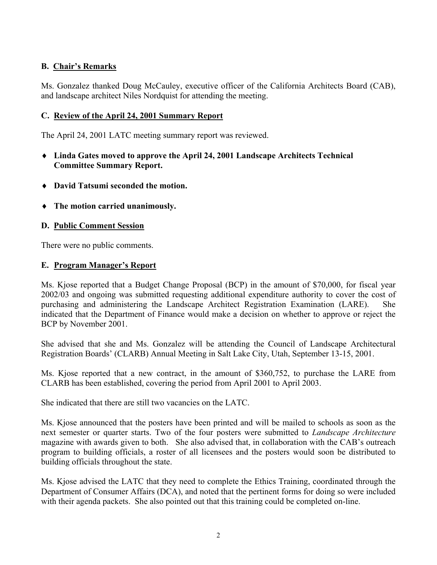# **B. Chair's Remarks**

Ms. Gonzalez thanked Doug McCauley, executive officer of the California Architects Board (CAB), and landscape architect Niles Nordquist for attending the meeting.

### **C. Review of the April 24, 2001 Summary Report**

The April 24, 2001 LATC meeting summary report was reviewed.

- ♦ **Linda Gates moved to approve the April 24, 2001 Landscape Architects Technical Committee Summary Report.**
- ♦ **David Tatsumi seconded the motion.**
- ♦ **The motion carried unanimously.**

# **D. Public Comment Session**

There were no public comments.

### **E. Program Manager's Report**

Ms. Kjose reported that a Budget Change Proposal (BCP) in the amount of \$70,000, for fiscal year 2002/03 and ongoing was submitted requesting additional expenditure authority to cover the cost of purchasing and administering the Landscape Architect Registration Examination (LARE). She indicated that the Department of Finance would make a decision on whether to approve or reject the BCP by November 2001.

She advised that she and Ms. Gonzalez will be attending the Council of Landscape Architectural Registration Boards' (CLARB) Annual Meeting in Salt Lake City, Utah, September 13-15, 2001.

Ms. Kjose reported that a new contract, in the amount of \$360,752, to purchase the LARE from CLARB has been established, covering the period from April 2001 to April 2003.

She indicated that there are still two vacancies on the LATC.

Ms. Kjose announced that the posters have been printed and will be mailed to schools as soon as the next semester or quarter starts. Two of the four posters were submitted to *Landscape Architecture* magazine with awards given to both. She also advised that, in collaboration with the CAB's outreach program to building officials, a roster of all licensees and the posters would soon be distributed to building officials throughout the state.

Ms. Kjose advised the LATC that they need to complete the Ethics Training, coordinated through the Department of Consumer Affairs (DCA), and noted that the pertinent forms for doing so were included with their agenda packets. She also pointed out that this training could be completed on-line.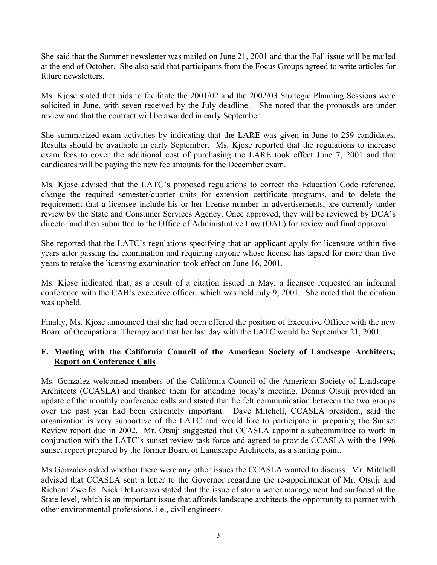She said that the Summer newsletter was mailed on June 21, 2001 and that the Fall issue will be mailed at the end of October. She also said that participants from the Focus Groups agreed to write articles for future newsletters.

Ms. Kjose stated that bids to facilitate the 2001/02 and the 2002/03 Strategic Planning Sessions were solicited in June, with seven received by the July deadline. She noted that the proposals are under review and that the contract will be awarded in early September.

She summarized exam activities by indicating that the LARE was given in June to 259 candidates. Results should be available in early September. Ms. Kjose reported that the regulations to increase exam fees to cover the additional cost of purchasing the LARE took effect June 7, 2001 and that candidates will be paying the new fee amounts for the December exam.

Ms. Kjose advised that the LATC's proposed regulations to correct the Education Code reference, change the required semester/quarter units for extension certificate programs, and to delete the requirement that a licensee include his or her license number in advertisements, are currently under review by the State and Consumer Services Agency. Once approved, they will be reviewed by DCA's director and then submitted to the Office of Administrative Law (OAL) for review and final approval.

She reported that the LATC's regulations specifying that an applicant apply for licensure within five years after passing the examination and requiring anyone whose license has lapsed for more than five years to retake the licensing examination took effect on June 16, 2001.

Ms. Kjose indicated that, as a result of a citation issued in May, a licensee requested an informal conference with the CAB's executive officer, which was held July 9, 2001. She noted that the citation was upheld.

Finally, Ms. Kjose announced that she had been offered the position of Executive Officer with the new Board of Occupational Therapy and that her last day with the LATC would be September 21, 2001.

### **F. Meeting with the California Council of the American Society of Landscape Architects; Report on Conference Calls**

Ms. Gonzalez welcomed members of the California Council of the American Society of Landscape Architects (CCASLA) and thanked them for attending today's meeting. Dennis Otsuji provided an update of the monthly conference calls and stated that he felt communication between the two groups over the past year had been extremely important. Dave Mitchell, CCASLA president, said the organization is very supportive of the LATC and would like to participate in preparing the Sunset Review report due in 2002. Mr. Otsuji suggested that CCASLA appoint a subcommittee to work in conjunction with the LATC's sunset review task force and agreed to provide CCASLA with the 1996 sunset report prepared by the former Board of Landscape Architects, as a starting point.

Ms Gonzalez asked whether there were any other issues the CCASLA wanted to discuss. Mr. Mitchell advised that CCASLA sent a letter to the Governor regarding the re-appointment of Mr. Otsuji and Richard Zweifel. Nick DeLorenzo stated that the issue of storm water management had surfaced at the State level, which is an important issue that affords landscape architects the opportunity to partner with other environmental professions, i.e., civil engineers.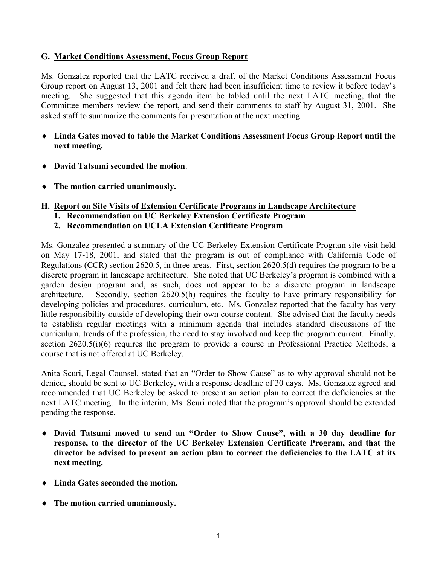#### **G. Market Conditions Assessment, Focus Group Report**

Ms. Gonzalez reported that the LATC received a draft of the Market Conditions Assessment Focus Group report on August 13, 2001 and felt there had been insufficient time to review it before today's meeting. She suggested that this agenda item be tabled until the next LATC meeting, that the Committee members review the report, and send their comments to staff by August 31, 2001. She asked staff to summarize the comments for presentation at the next meeting.

- ♦ **Linda Gates moved to table the Market Conditions Assessment Focus Group Report until the next meeting.**
- ♦ **David Tatsumi seconded the motion**.
- ♦ **The motion carried unanimously.**

# **H. Report on Site Visits of Extension Certificate Programs in Landscape Architecture**

- **1. Recommendation on UC Berkeley Extension Certificate Program**
- **2. Recommendation on UCLA Extension Certificate Program**

Ms. Gonzalez presented a summary of the UC Berkeley Extension Certificate Program site visit held on May 17-18, 2001, and stated that the program is out of compliance with California Code of Regulations (CCR) section 2620.5, in three areas. First, section 2620.5(d) requires the program to be a discrete program in landscape architecture. She noted that UC Berkeley's program is combined with a garden design program and, as such, does not appear to be a discrete program in landscape architecture. Secondly, section 2620.5(h) requires the faculty to have primary responsibility for developing policies and procedures, curriculum, etc. Ms. Gonzalez reported that the faculty has very little responsibility outside of developing their own course content. She advised that the faculty needs to establish regular meetings with a minimum agenda that includes standard discussions of the curriculum, trends of the profession, the need to stay involved and keep the program current. Finally, section 2620.5(i)(6) requires the program to provide a course in Professional Practice Methods, a course that is not offered at UC Berkeley.

Anita Scuri, Legal Counsel, stated that an "Order to Show Cause" as to why approval should not be denied, should be sent to UC Berkeley, with a response deadline of 30 days. Ms. Gonzalez agreed and recommended that UC Berkeley be asked to present an action plan to correct the deficiencies at the next LATC meeting. In the interim, Ms. Scuri noted that the program's approval should be extended pending the response.

- ♦ **David Tatsumi moved to send an "Order to Show Cause", with a 30 day deadline for response, to the director of the UC Berkeley Extension Certificate Program, and that the director be advised to present an action plan to correct the deficiencies to the LATC at its next meeting.**
- ♦ **Linda Gates seconded the motion.**
- ♦ **The motion carried unanimously.**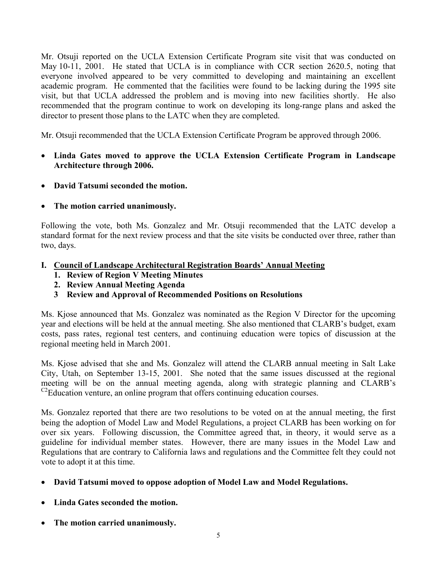Mr. Otsuji reported on the UCLA Extension Certificate Program site visit that was conducted on May 10-11, 2001. He stated that UCLA is in compliance with CCR section 2620.5, noting that everyone involved appeared to be very committed to developing and maintaining an excellent academic program. He commented that the facilities were found to be lacking during the 1995 site visit, but that UCLA addressed the problem and is moving into new facilities shortly. He also recommended that the program continue to work on developing its long-range plans and asked the director to present those plans to the LATC when they are completed.

Mr. Otsuji recommended that the UCLA Extension Certificate Program be approved through 2006.

- **Linda Gates moved to approve the UCLA Extension Certificate Program in Landscape Architecture through 2006.**
- **David Tatsumi seconded the motion.**
- **The motion carried unanimously.**

Following the vote, both Ms. Gonzalez and Mr. Otsuji recommended that the LATC develop a standard format for the next review process and that the site visits be conducted over three, rather than two, days.

- **I. Council of Landscape Architectural Registration Boards' Annual Meeting** 
	- **1. Review of Region V Meeting Minutes**
	- **2. Review Annual Meeting Agenda**
	- **3 Review and Approval of Recommended Positions on Resolutions**

Ms. Kjose announced that Ms. Gonzalez was nominated as the Region V Director for the upcoming year and elections will be held at the annual meeting. She also mentioned that CLARB's budget, exam costs, pass rates, regional test centers, and continuing education were topics of discussion at the regional meeting held in March 2001.

Ms. Kjose advised that she and Ms. Gonzalez will attend the CLARB annual meeting in Salt Lake City, Utah, on September 13-15, 2001. She noted that the same issues discussed at the regional meeting will be on the annual meeting agenda, along with strategic planning and CLARB's  $C<sup>2</sup>$ Education venture, an online program that offers continuing education courses.

Ms. Gonzalez reported that there are two resolutions to be voted on at the annual meeting, the first being the adoption of Model Law and Model Regulations, a project CLARB has been working on for over six years. Following discussion, the Committee agreed that, in theory, it would serve as a guideline for individual member states. However, there are many issues in the Model Law and Regulations that are contrary to California laws and regulations and the Committee felt they could not vote to adopt it at this time.

- **David Tatsumi moved to oppose adoption of Model Law and Model Regulations.**
- **Linda Gates seconded the motion.**
- **The motion carried unanimously.**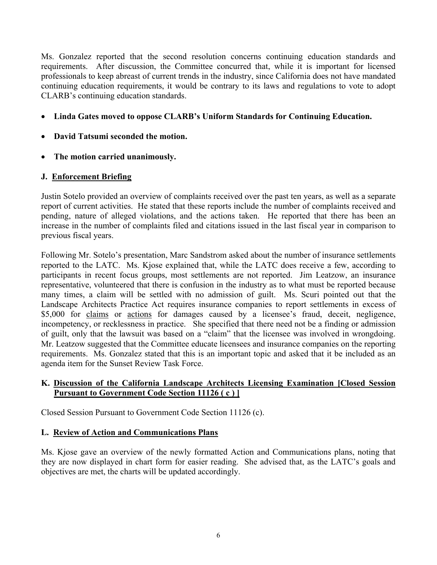Ms. Gonzalez reported that the second resolution concerns continuing education standards and requirements. After discussion, the Committee concurred that, while it is important for licensed professionals to keep abreast of current trends in the industry, since California does not have mandated continuing education requirements, it would be contrary to its laws and regulations to vote to adopt CLARB's continuing education standards.

- **Linda Gates moved to oppose CLARB's Uniform Standards for Continuing Education.**
- **David Tatsumi seconded the motion.**
- **The motion carried unanimously.**

# **J. Enforcement Briefing**

Justin Sotelo provided an overview of complaints received over the past ten years, as well as a separate report of current activities. He stated that these reports include the number of complaints received and pending, nature of alleged violations, and the actions taken. He reported that there has been an increase in the number of complaints filed and citations issued in the last fiscal year in comparison to previous fiscal years.

Following Mr. Sotelo's presentation, Marc Sandstrom asked about the number of insurance settlements reported to the LATC. Ms. Kjose explained that, while the LATC does receive a few, according to participants in recent focus groups, most settlements are not reported. Jim Leatzow, an insurance representative, volunteered that there is confusion in the industry as to what must be reported because many times, a claim will be settled with no admission of guilt. Ms. Scuri pointed out that the Landscape Architects Practice Act requires insurance companies to report settlements in excess of \$5,000 for claims or actions for damages caused by a licensee's fraud, deceit, negligence, incompetency, or recklessness in practice. She specified that there need not be a finding or admission of guilt, only that the lawsuit was based on a "claim" that the licensee was involved in wrongdoing. Mr. Leatzow suggested that the Committee educate licensees and insurance companies on the reporting requirements. Ms. Gonzalez stated that this is an important topic and asked that it be included as an agenda item for the Sunset Review Task Force.

# **K. Discussion of the California Landscape Architects Licensing Examination [Closed Session Pursuant to Government Code Section 11126 ( c ) ]**

Closed Session Pursuant to Government Code Section 11126 (c).

### **L. Review of Action and Communications Plans**

Ms. Kjose gave an overview of the newly formatted Action and Communications plans, noting that they are now displayed in chart form for easier reading. She advised that, as the LATC's goals and objectives are met, the charts will be updated accordingly.